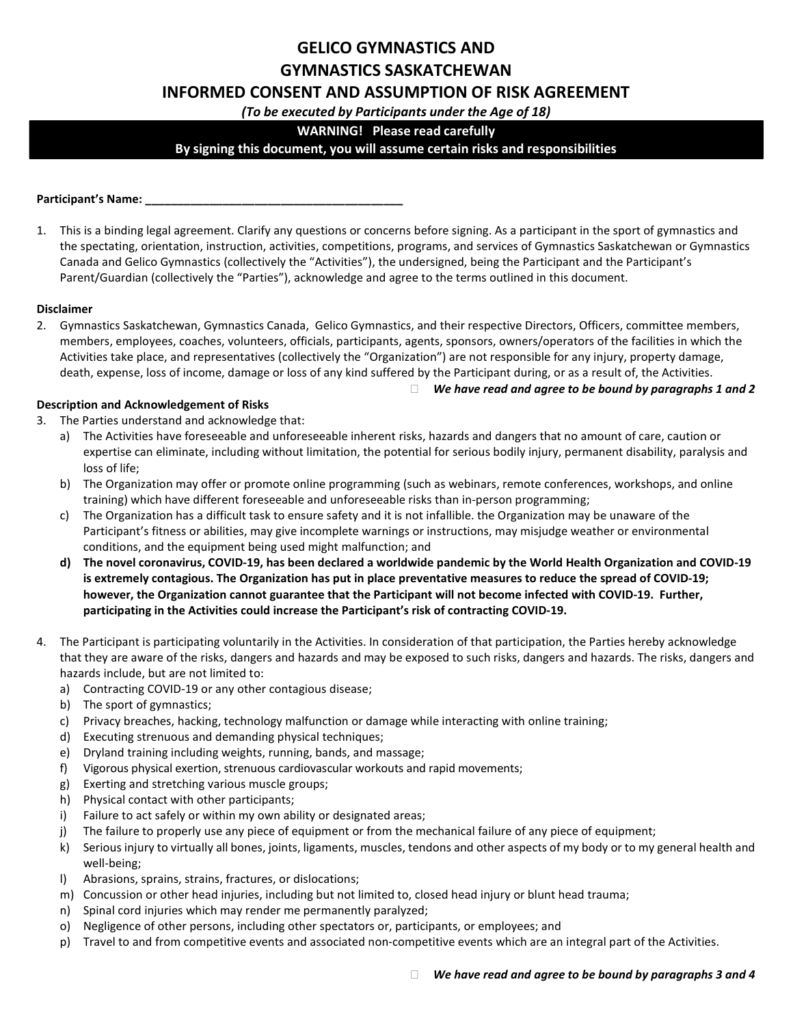# GELICO GYMNASTICS AND GYMNASTICS SASKATCHEWAN

# INFORMED CONSENT AND ASSUMPTION OF RISK AGREEMENT

(To be executed by Participants under the Age of 18)

# WARNING! Please read carefully

# By signing this document, you will assume certain risks and responsibilities

#### Participant's Name: \_\_

1. This is a binding legal agreement. Clarify any questions or concerns before signing. As a participant in the sport of gymnastics and the spectating, orientation, instruction, activities, competitions, programs, and services of Gymnastics Saskatchewan or Gymnastics Canada and Gelico Gymnastics (collectively the "Activities"), the undersigned, being the Participant and the Participant's Parent/Guardian (collectively the "Parties"), acknowledge and agree to the terms outlined in this document.

#### Disclaimer

2. Gymnastics Saskatchewan, Gymnastics Canada, Gelico Gymnastics, and their respective Directors, Officers, committee members, members, employees, coaches, volunteers, officials, participants, agents, sponsors, owners/operators of the facilities in which the Activities take place, and representatives (collectively the "Organization") are not responsible for any injury, property damage, death, expense, loss of income, damage or loss of any kind suffered by the Participant during, or as a result of, the Activities.

#### Description and Acknowledgement of Risks

- 3. The Parties understand and acknowledge that:
	- a) The Activities have foreseeable and unforeseeable inherent risks, hazards and dangers that no amount of care, caution or expertise can eliminate, including without limitation, the potential for serious bodily injury, permanent disability, paralysis and loss of life;
	- b) The Organization may offer or promote online programming (such as webinars, remote conferences, workshops, and online training) which have different foreseeable and unforeseeable risks than in-person programming;
	- c) The Organization has a difficult task to ensure safety and it is not infallible. the Organization may be unaware of the Participant's fitness or abilities, may give incomplete warnings or instructions, may misjudge weather or environmental conditions, and the equipment being used might malfunction; and
	- d) The novel coronavirus, COVID-19, has been declared a worldwide pandemic by the World Health Organization and COVID-19 is extremely contagious. The Organization has put in place preventative measures to reduce the spread of COVID-19; however, the Organization cannot guarantee that the Participant will not become infected with COVID-19. Further, participating in the Activities could increase the Participant's risk of contracting COVID-19.
- 4. The Participant is participating voluntarily in the Activities. In consideration of that participation, the Parties hereby acknowledge that they are aware of the risks, dangers and hazards and may be exposed to such risks, dangers and hazards. The risks, dangers and hazards include, but are not limited to:
	- a) Contracting COVID-19 or any other contagious disease;
	- b) The sport of gymnastics;
	- c) Privacy breaches, hacking, technology malfunction or damage while interacting with online training;
	- d) Executing strenuous and demanding physical techniques;
	- e) Dryland training including weights, running, bands, and massage;
	- f) Vigorous physical exertion, strenuous cardiovascular workouts and rapid movements;
	- g) Exerting and stretching various muscle groups;
	- h) Physical contact with other participants;
	- i) Failure to act safely or within my own ability or designated areas;
	- j) The failure to properly use any piece of equipment or from the mechanical failure of any piece of equipment;
	- k) Serious injury to virtually all bones, joints, ligaments, muscles, tendons and other aspects of my body or to my general health and well-being;
	- l) Abrasions, sprains, strains, fractures, or dislocations;
	- m) Concussion or other head injuries, including but not limited to, closed head injury or blunt head trauma;
	- n) Spinal cord injuries which may render me permanently paralyzed;
	- o) Negligence of other persons, including other spectators or, participants, or employees; and
	- p) Travel to and from competitive events and associated non-competitive events which are an integral part of the Activities.

 $\Box$  We have read and agree to be bound by paragraphs 1 and 2